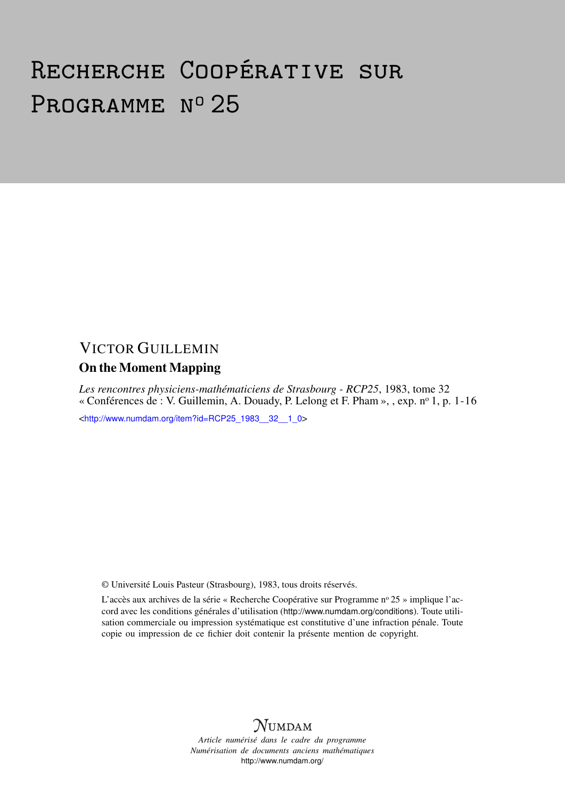# Recherche Coopérative sur PROGRAMME Nº 25

## VICTOR GUILLEMIN On the Moment Mapping

*Les rencontres physiciens-mathématiciens de Strasbourg - RCP25*, 1983, tome 32 « Conférences de : V. Guillemin, A. Douady, P. Lelong et F. Pham », , exp. n<sup>o</sup> 1, p. 1-16

<[http://www.numdam.org/item?id=RCP25\\_1983\\_\\_32\\_\\_1\\_0](http://www.numdam.org/item?id=RCP25_1983__32__1_0)>

© Université Louis Pasteur (Strasbourg), 1983, tous droits réservés.

L'accès aux archives de la série « Recherche Coopérative sur Programme n° 25 » implique l'accord avec les conditions générales d'utilisation (<http://www.numdam.org/conditions>). Toute utilisation commerciale ou impression systématique est constitutive d'une infraction pénale. Toute copie ou impression de ce fichier doit contenir la présente mention de copyright.



*Article numérisé dans le cadre du programme Numérisation de documents anciens mathématiques* <http://www.numdam.org/>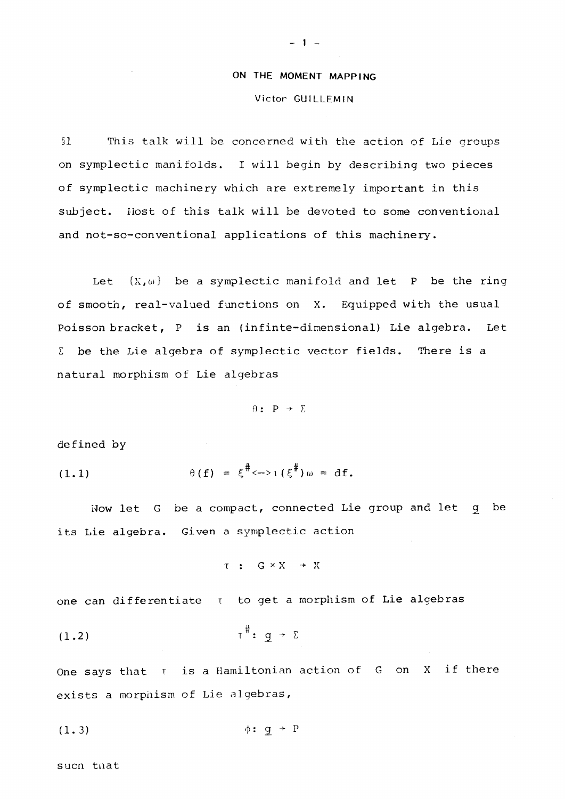### ON THE MOMENT MAPPING

#### Victor GUILLEMIN

§1 This talk will be concerned with the action of Lie groups on symplectic manifolds. I will begin by describing two pieces of symplectic machinery which are extremely important in this subject. Host of this talk will be devoted to some conventional and not-so-conventional applications of this machinery.

Let  $\{X,\omega\}$  be a symplectic manifold and let P be the ring of smooth, real-valued functions on X. Equipped with the usual Poisson bracket, P is an (infinte-dimensional) Lie algebra. Let  $\Sigma$  be the Lie algebra of symplectic vector fields. There is a natural morphism of Lie algebras

 $\theta$ : P +  $\Sigma$ 

defined by

(1.1) 
$$
\theta(f) = \xi^{\#} \iff \iota(\xi^{\#}) \omega = df.
$$

Wow let G be a compact, connected Lie group and let g be its Lie algebra. Given a symplectic action

$$
\tau \ : \ G \times X \ \to \ X
$$

one can differentiate  $\tau$  to get a morphism of Lie algebras

(1.2) T : g *~ <sup>y</sup>* Z

One says that  $\tau$  is a Hamiltonian action of G on X if there exists a morphism of Lie algebras,

$$
\phi: \mathfrak{g} \rightarrow P
$$

sucn tnat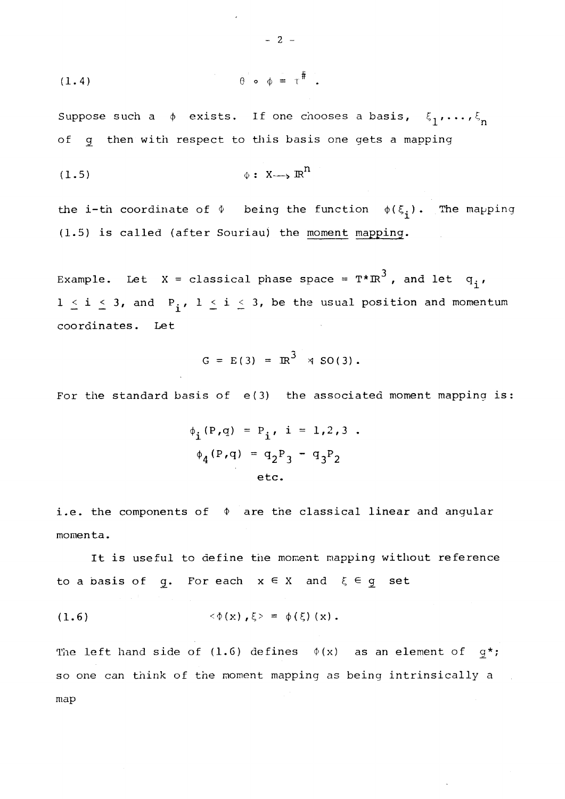$$
(1.4) \qquad \qquad \theta \qquad \phi = \tau^{\#}.
$$

Suppose such a  $\phi$  exists. If one chooses a basis,  $\xi_1, \ldots, \xi_n$ of g then with respect to this basis one gets a mapping

$$
(1.5) \qquad \qquad \phi: X \longrightarrow \mathbb{R}^n
$$

the i-th coordinate of  $\phi$  being the function  $\phi(\xi_i)$ . The mapping (1.5) is called (after Souriau) the moment mapping.

Example. Let X = classical phase space =  $T^* \text{R}^3$ , and let  $q^T$ ,  $1 \leq i \leq 3$ , and  $P_i$ ,  $1 \leq i \leq 3$ , be the usual position and momentum coordinates. Let

$$
G = E(3) = IR^3 \times SO(3)
$$
.

For the standard basis of e(3) the associated moment mapping is:

$$
\phi_{\mathbf{i}}(P,q) = P_{\mathbf{i}}, \quad \mathbf{i} = 1, 2, 3
$$
\n
$$
\phi_{\mathbf{4}}(P,q) = q_2 P_3 - q_3 P_2
$$
\netc.

i.e. the components of  $\phi$  are the classical linear and angular momenta.

It is useful to define the moment mapping without reference to a basis of g. For each  $x \in X$  and  $\xi \in g$  set

(1.6) 
$$
\langle \Phi(x), \xi \rangle = \phi(\xi)(x)
$$
.

The left hand side of (1.6) defines  $\phi(x)$  as an element of  $g^*$ ; so one can think of the moment mapping as being intrinsically a map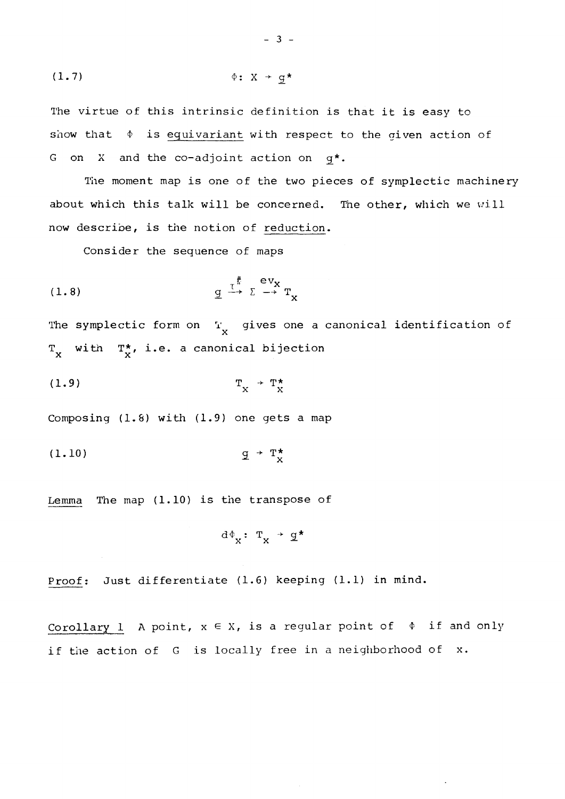(1.7) <f>: X -> g\*

The virtue of this intrinsic definition is that it is easy to show that  $\phi$  is equivariant with respect to the given action of G on X and the co-adjoint action on  $g^*$ .

The moment map is one of the two pieces of symplectic machinery about which this talk will be concerned. The other, which we will now describe, is the notion of reduction.

Consider the sequence of maps

\* ev<sup>x</sup> (1.8) g —-> E —• T<sup>x</sup>

The symplectic form on  $T_{\rm y}$  gives one a canonical identification of  $T_{X}$  with  $T_{X}^{\star}$ , i.e. a canonical bijection

$$
(1.9) \t\t T_X^* \t T_X^*
$$

Composing (1.8) with (1.9) one gets a map

(1.10) 2 - T\*

Lemma The map (1.10) is the transpose of

$$
d\Phi_{X}: T_{X} \rightarrow \underline{g}^{\star}
$$

Proof; Just differentiate (1.6) keeping (1.1) in mind.

Corollary 1 A point,  $x \in X$ , is a regular point of  $\phi$  if and only if the action of G is locally free in a neighborhood of x.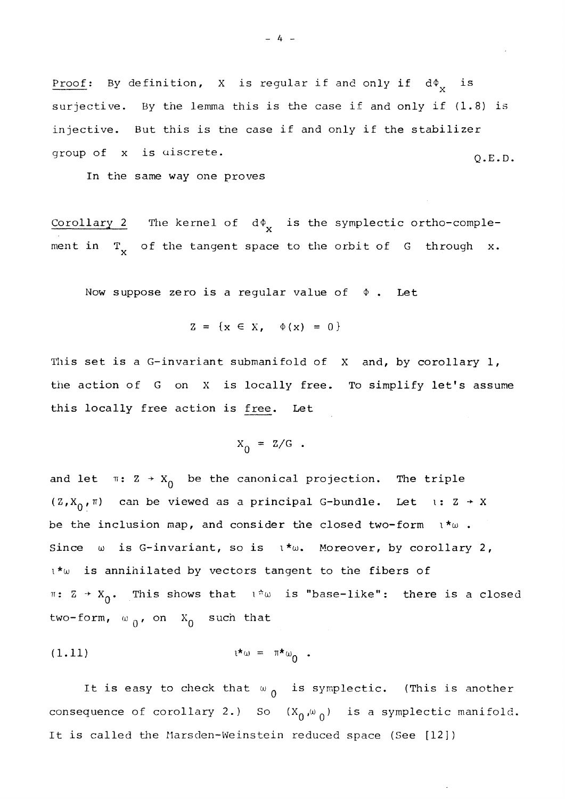Proof: By definition, X is regular if and only if  $d\Phi_{v}$  is surjective. By the lemma this is the case if and only if (1.8) is injective. But this is the case if and only if the stabilizer group of x is aiscrete.

group of  $\mathbb{R}^2$  is discrete.  $\mathbb{R}^2$  is discrete.  $\mathbb{R}^2$  is discrete.  $\mathbb{R}^2$ 

Corollary 2 The kernel of  $d\phi_{\mathbf{v}}$  is the symplectic ortho-comple- $\mathbb{T}_{\mathbb{Z}^2}$ ment in  $T_{\chi}$  of the tangent space to the orbit of  $G$  through  $x$ .

Now suppose zero is a regular value of  $\phi$ . Let

$$
Z = \{x \in X, \quad \Phi(x) = 0\}
$$

This set is a G-invariant submanifold of X and, by corollary 1, the action of G on X is locally free. To simplify let's assume this locally free action is free. Let

$$
X_0 = Z/G \t .
$$

and let  $\pi: Z \rightarrow X_0$  be the canonical projection. The triple  $(Z, X_0, \pi)$  can be viewed as a principal G-bundle. Let  $x \rightarrow X$ be the inclusion map, and consider the closed two-form  $i * \omega$ . Since  $\omega$  is G-invariant, so is  $\iota^*\omega$ . Moreover, by corollary 2,  $i * \omega$  is annihilated by vectors tangent to the fibers of  $\pi: Z \rightarrow X_0$ . This shows that  $1 \times \omega$  is "base-like": there is a closed two-form,  $\omega_{0}$ , on  $X_{0}$  such that

$$
(\mathbf{1.11}) \qquad \qquad \mathbf{1^{*}}\omega = \pi^{*}\omega_{0} .
$$

It is easy to check that  $\omega_{0}$  is symplectic. (This is another consequence of corollary 2.) So  $(X_0,\omega_0)$  is a symplectic manifold. It is called the Marsden-Weinstein reduced space (See [12])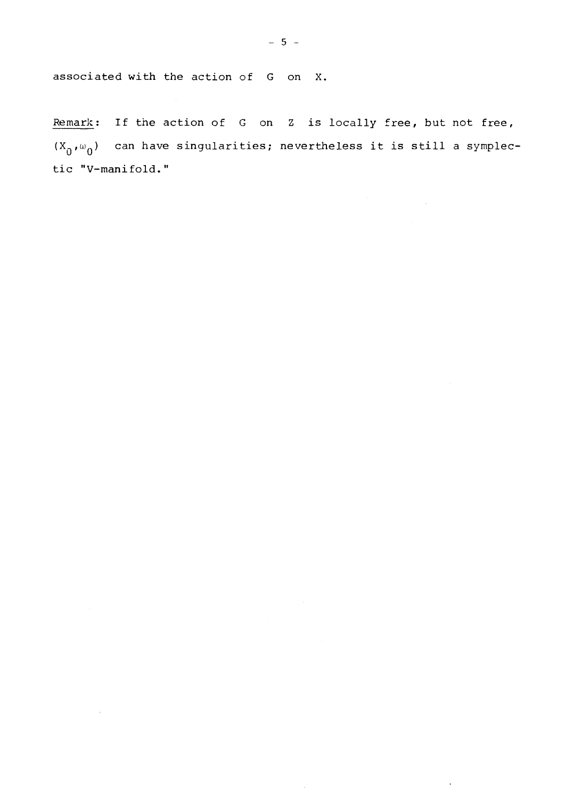associated with the action of G on X.

 $\sim 10$ 

Remark: If the action of G on Z is locally free, but not free,  $(X_{\theta},\omega_{\theta})$  can have singularities; nevertheless it is still a symplectic MV-manifold."

 $\sim$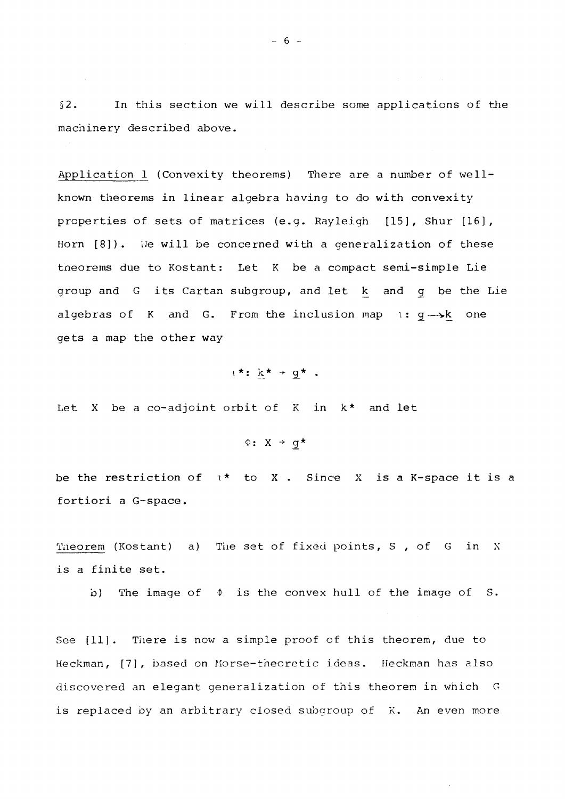§2. In this section we will describe some applications of the machinery described above.

 $\sim 10^7$ 

Application 1 (Convexity theorems) There are a number of wellknown theorems in linear algebra having to do with convexity properties of sets of matrices (e.g. Rayleigh [15], Shur [16], Horn [8]). We will be concerned with a generalization of these tneorems due to Kostant: Let K be a compact semi-simple Lie group and G its Cartan subgroup, and let k and g be the Lie algebras of K and G. From the inclusion map  $i: g \rightarrow k$  one gets a map the other way

 $i^*$ :  $k^*$  +  $g^*$ .

Let X be a co-adjoint orbit of K in k\* and let

 $\Phi$ : X + g\*

be the restriction of  $\iota^*$  to X. Since X is a K-space it is a fortiori a G-space.

Theorem (Kostant) a) The set of fixed points, S, of G in X is a finite set.

b) The image of  $\phi$  is the convex hull of the image of S.

See [11]. There is now a simple proof of this theorem, due to Heckman, [7], based on Morse-theoretic ideas. Heckman has also discovered an elegant generalization of this theorem in which G is replaced by an arbitrary closed subgroup of K. An even more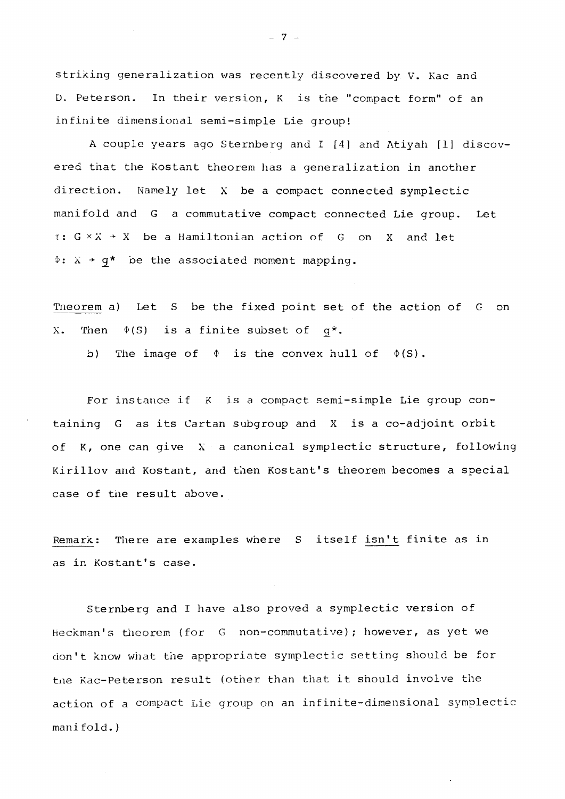striking generalization was recently discovered by V. Kac and D. Peterson. In their version, K is the "compact form" of an infinite dimensional semi-simple Lie group!

A couple years ago Sternberg and I [4] and Atiyah [1] discovered that the Kostant theorem has a generalization in another direction. Namely let X be a compact connected symplectic manifold and G a commutative compact connected Lie group. Let  $\tau: G \times X \to X$  be a Hamiltonian action of G on X and let  $\Phi$ :  $\bar{x}$  + g\* be the associated moment mapping.

Tneorem a) Let S be the fixed point set of the action of G on X. Then  $\phi(S)$  is a finite subset of  $q^*$ .

b) The image of  $\phi$  is the convex hull of  $\phi(S)$ .

For instance if K is a compact semi-simple Lie group containing G as its Cartan subgroup and X is a co-adjoint orbit of K, one can give  $X$  a canonical symplectic structure, following Kirillov and Kostant, and then Kostant's theorem becomes a special case of tne result above.

Remark: There are examples where S itself isn't finite as in as in Kostant's case.

Sternberg and I have also proved a symplectic version of Heckman's theorem (for G non-commutative); however, as yet we don't know what the appropriate symplectic setting should be for tne Kac-Peterson result (other than that it should involve the action of a compact Lie group on an infinite-dimensional symplectic mani fold.)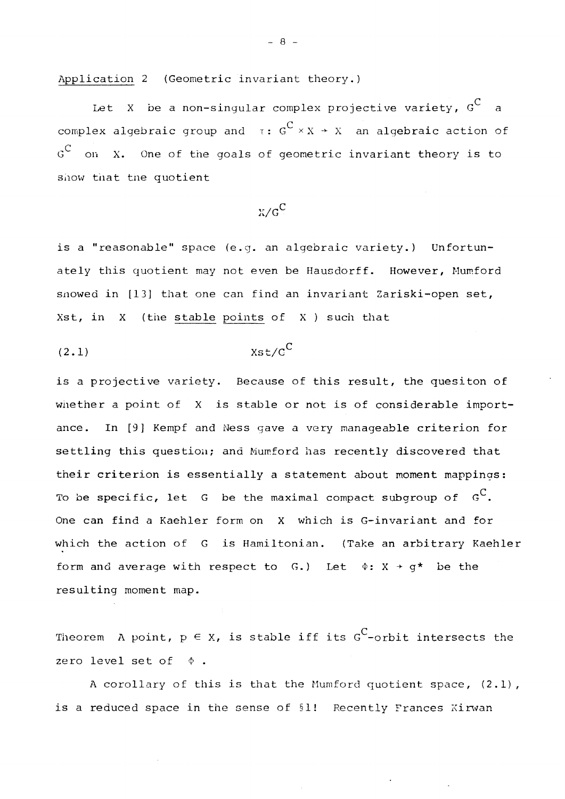Application 2 (Geometric invariant theory.)

 $\mathsf{C}^ \sum_{i=1}^{n}$  be a non-singular complex projective variety,  $\sum_{i=1}^{n}$ complex algebraic group and  $\tau: G^C \times X \to X$  an algebraic action of  $G^C$  on X. One of the goals of geometric invariant theory is to show that the quotient

$$
x/\varsigma^C
$$

is a "reasonable" space (e.g. an algebraic variety.) Unfortunately this quotient may not even be Hausdorff. However, Mumford snowed in [13] that one can find an invariant Zariski-open set, Xst, in  $X$  (the stable points of  $X$  ) such that

(2.1) Xst/G<sup>C</sup>

resulting moment map.

is a projective variety. Because of this result, the quesiton of whether a point of X is stable or not is of considerable importance. In [9] Kempf and Ness gave a very manageable criterion for settling this question; and Mumford has recently discovered that their criterion is essentially a statement about moment mappings: To be specific, let  $G$  be the maximal compact subgroup of  $G^C$ . One can find a Kaehler form on X which is G-invariant and for which the action of G is Hamiltonian. (Take an arbitrary Kaehler form and average with respect to G.) Let  $\Phi$ : X + q\* be the for a verage with respect to  $\mathcal{L}$   $\mathcal{L}$   $\mathcal{L}$   $\mathcal{L}$   $\mathcal{L}$   $\mathcal{L}$   $\mathcal{L}$   $\mathcal{L}$   $\mathcal{L}$   $\mathcal{L}$   $\mathcal{L}$   $\mathcal{L}$   $\mathcal{L}$   $\mathcal{L}$   $\mathcal{L}$   $\mathcal{L}$   $\mathcal{L}$   $\mathcal{L}$   $\mathcal{L}$   $\mathcal{L}$   $\mathcal{L}$   $\math$ 

Theorem A point,  $p \in X$ , is stable iff its G<sup>C</sup>-orbit intersects the zero level set of  $\phi$ .

A corollary of this is that the Mumford quotient space,  $(2.1)$ , is a reduced space in the sense of §1! Recently Frances Kirwan

- 8 -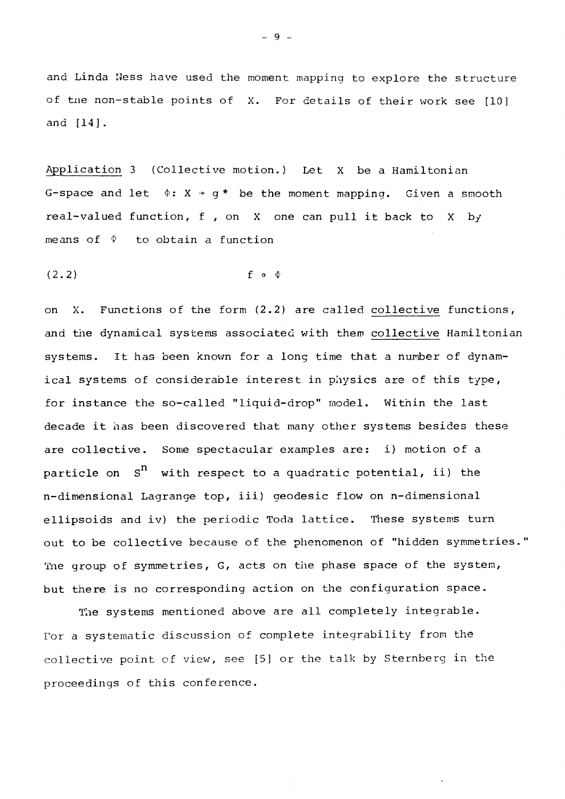and Linda Ness have used the moment mapping to explore the structure of the non-stable points of X. For details of their work see [10] and [14],

Application 3 (Collective motion.) Let X be a Hamiltonian G-space and let  $\phi: X \rightarrow q^*$  be the moment mapping. Given a smooth real-valued function, f , on X one can pull it back to X by means of  $\Phi$  to obtain a function

 $(2.2)$  f o  $\Phi$ 

on X. Functions of the form (2.2) are called collective functions, and the dynamical systems associated with them collective Hamiltonian systems. It has been known for a long time that a number of dynamical systems of considerable interest in physics are of this type, for instance the so-called "liquid-drop" model. Within the last decade it has been discovered that many other systems besides these are collective. Some spectacular examples are: i) motion of a particle on  $S<sup>n</sup>$  with respect to a quadratic potential, ii) the n-dimensional Lagrange top, iii) geodesic flow on n-dimensional ellipsoids and iv) the periodic Toda lattice. These systems turn out to be collective because of the phenomenon of "hidden symmetries." The group of symmetries, G, acts on the phase space of the system, but there is no corresponding action on the configuration space.

The systems mentioned above are all completely integrable. For a systematic discussion of complete integrability from the collective point of view, see [5] or the talk by Sternberg in the proceedings of this conference.

- 9 -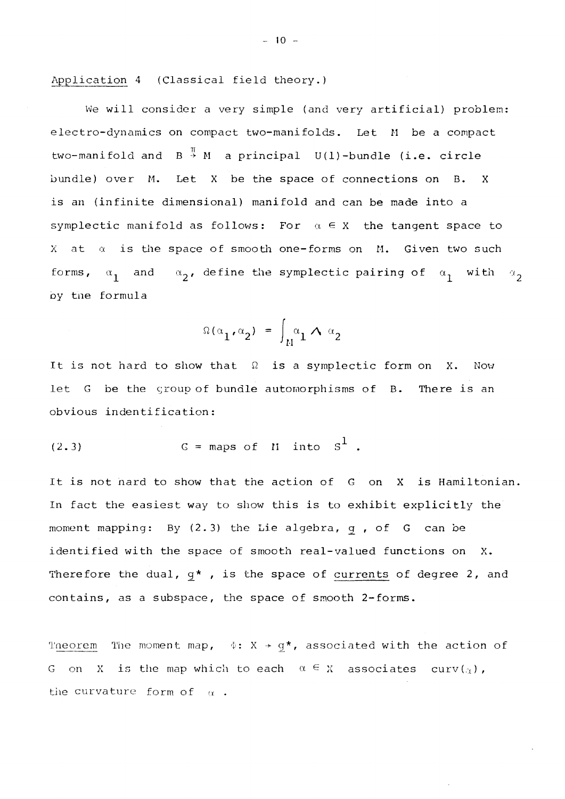Application 4 (Classical field theory.)

We will consider a very simple (and very artificial) problem: electro-dynamics on compact two-manifolds. Let M be a compact two-manifold and  $B \stackrel{\pi}{\rightarrow} M$  a principal  $U(1)$ -bundle (i.e. circle bundle) over M. Let X be the space of connections on B. X is an (infinite dimensional) manifold and can be made into a symplectic manifold as follows: For  $\alpha \in X$  the tangent space to  $X$  at  $\alpha$  is the space of smooth one-forms on  $M$ . Given two such forms,  $\alpha_1$  and  $\alpha_2$ , define the symplectic pairing of  $\alpha_1$  with  $\alpha_2$ oy tne formula

$$
\Omega(\alpha_1, \alpha_2) = \int_M \alpha_1 \wedge \alpha_2
$$

It is not hard to show that *Q* is a symplectic form on X. Nov/ let G be the group of bundle automorphisms of B. There is an obvious indentification:

$$
(2.3) \tG = maps of ii into S1.
$$

It is not nard to show that the action of G on X is Hamiltonian. In fact the easiest way to show this is to exhibit explicitly the moment mapping: By (2.3) the Lie algebra, g , of G can be identified with the space of smooth real-valued functions on X. Therefore the dual,  $g^*$ , is the space of currents of degree 2, and contains, as a subspace, the space of smooth 2-forms.

Theorem The moment map,  $\phi: X \rightarrow g^*$ , associated with the action of G on X is the map which to each  $\alpha \in X$  associates curv( $\alpha$ ), the curvature form of  $\alpha$ .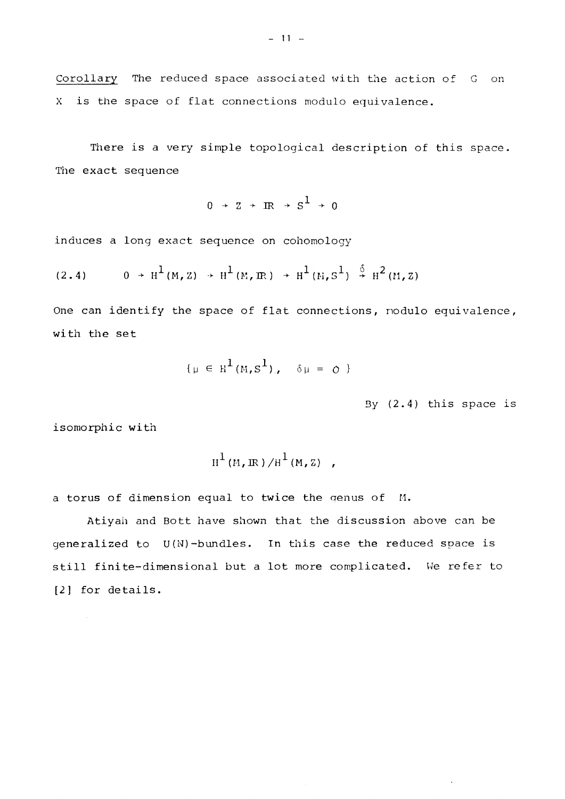Corollary The reduced space associated with the action of G on X is the space of flat connections modulo equivalence.

There is a very simple topological description of this space. The exact sequence

$$
0 \rightarrow Z \rightarrow IR \rightarrow S^1 \rightarrow 0
$$

induces a long exact sequence on cohomology

$$
(2.4) \t 0 \t H1(M, Z) \t H1(M, \mathbb{R}) \t H1(M, S1) \t H2(M, Z)
$$

One can identify the space of flat connections, nodulo equivalence, with the set

$$
\{\mu \in H^1(M, S^1), \quad \delta \mu = 0 \}
$$

3y (2.4) this space is

isomorphic with

$$
H^1(M,\mathbb{R})/H^1(M,\mathbb{Z}) ,
$$

a torus of dimension equal to twice the genus of M.

Atiyaii and Bott have shown that the discussion above can be generalized to U(N)-bundles. In this case the reduced space is still finite-dimensional but a lot more complicated. We refer to [2] for details.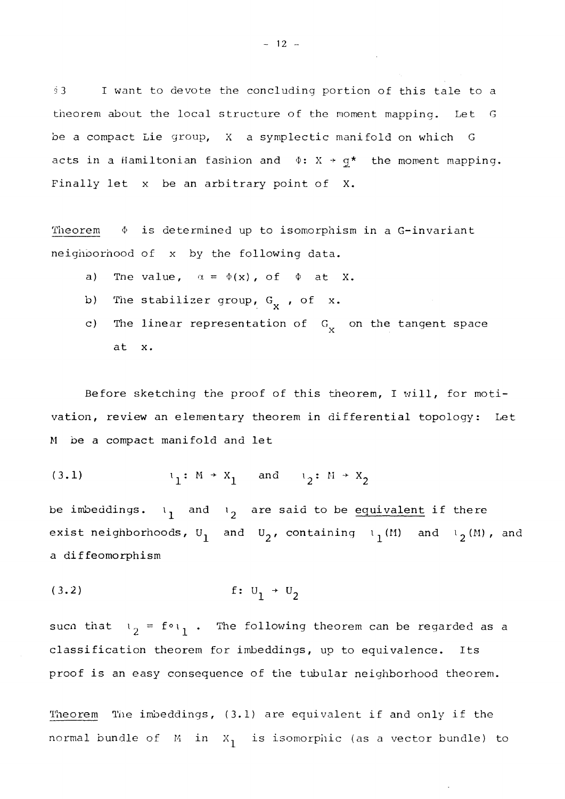§3 I want to devote the concluding portion of this tale to a theorem about the local structure of the moment mapping. Let G be a compact Lie group, X a symplectic manifold on which G acts in a Hamiltonian fashion and  $\Phi: X \rightarrow g^*$  the moment mapping. Finally let x be an arbitrary point of X.

Theorem  $\phi$  is determined up to isomorphism in a G-invariant neighoorhood of x by the following data.

- a) The value,  $\alpha = \phi(x)$ , of  $\phi$  at X.
- b) The stabilizer group,  $G_x$ , of x.
- c) The linear representation of  $G_{\rm X}$  on the tangent space  $\overline{\mathbf{r}}$   $\overline{\mathbf{r}}$

Before sketching the proof of this theorem, I will, for motivation, review an elementary theorem in differential topology: Let M be a compact manifold and let

(3.1) 
$$
1_1: M \rightarrow X_1
$$
 and  $1_2: M \rightarrow X_2$ 

be imbeddings.  $\mathfrak{a}_1$  and  $\mathfrak{a}_2$  are said to be equivalent if there exist neighborhoods,  $U_1$  and  $U_2$ , containing  $i_1(M)$  and  $i_2(M)$ , and a diffeomorphism

(3.2) f: *U±* + U <sup>2</sup>

suc $n$  that  $\iota_2 = f \circ \iota_1$  . The following theorem can be regarded as a classification theorem for imbeddings, up to equivalence. Its proof is an easy consequence of the tubular neighborhood theorem.

Theorem The imbeddings, (3.1) are equivalent if and only if the normal bundle of  $M$  in  $X_1$  is isomorphic (as a vector bundle) to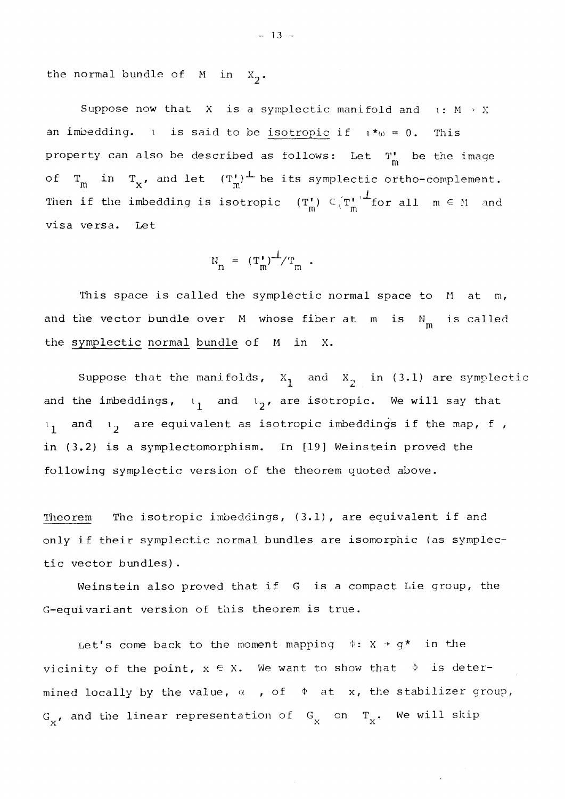the normal bundle of  $M$  in  $X_2$ .

Suppose now that X is a symplectic manifold and  $i : M \rightarrow X$ an imbedding. i is said to be isotropic if  $i *_{\omega} = 0$ . This property can also be described as follows: Let  $T^{\bullet}_{m}$  be the image of  $T_m$  in  $T_x$ , and let  $(T_m')^{\perp}$  be its symplectic ortho-complement. Then if the imbedding is isotropic  $(T_m^{\dagger}) \subset (T_m^{\dagger})^{\dagger}$  for all  $m \in M$  and m m visa versa. Let

$$
N_n = (T_m^*)^{\perp}/T_m.
$$

This space is called the symplectic normal space to M at m, and the vector bundle over  $M$  whose fiber at  $m$  is  $N_m$  is called m the symplectic normal bundle of M in X.

Suppose that the manifolds,  $X_1$  and  $X_2$  in (3.1) are symplectic and the imbeddings,  $i^1$  and  $i^2$ , are isotropic. We will say that and  $i^3$  are equivalent as isotropic imbeddings if the map, f ,  $l_1$ in (3.2) is a symplectomorphism. In [19] Weinstein proved the following symplectic version of the theorem quoted above.

Theorem The isotropic imbeddings, (3.1), are equivalent if and only if their symplectic normal bundles are isomorphic (as symplectic vector bundles).

Weinstein also proved that if G is a compact Lie group, the G-equivariant version of this theorem is true.

Let's come back to the moment mapping  $\phi: X \rightarrow g^*$  in the vicinity of the point,  $x \in X$ . We want to show that  $\phi$  is determined locally by the value,  $\alpha$  , of  $\phi$  at x, the stabilizer group,  $\mathbf{G}_{_{\mathbf{X}}}$ , and the linear representation of  $\mathbf{G}_{_{\mathbf{X}}}$  on  $\mathbf{T}_{_{\mathbf{X}}}$ . We will skip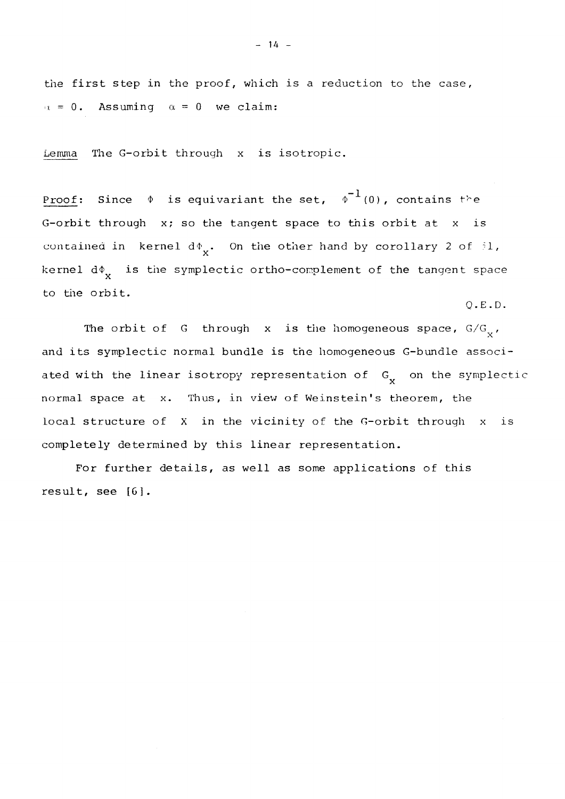the first step in the proof, which is a reduction to the case,  $\alpha = 0$ . Assuming  $\alpha = 0$  we claim:

Lemma The G-orbit through x is isotropic.

Proof: Since  $\phi$  is equivariant the set,  $\phi^{-1}(0)$ , contains the G-orbit through x; so the tangent space to this orbit at x is contained in kernel  $d\phi_x$ . On the other hand by corollary 2 of  $i1$ ,  $\mathbf{r}$ kernel  $\texttt{d}\Phi_{\textbf{x}}$  is the symplectic ortho-complement of the tangent space to the orbit.

Q.E.D.

The orbit of G through x is the homogeneous space,  $G/G_{\gamma}$ , and its symplectic normal bundle is the homogeneous G-bundle associ- $\mathbf x$ 

For further details, as well as some applications of this result, see [6].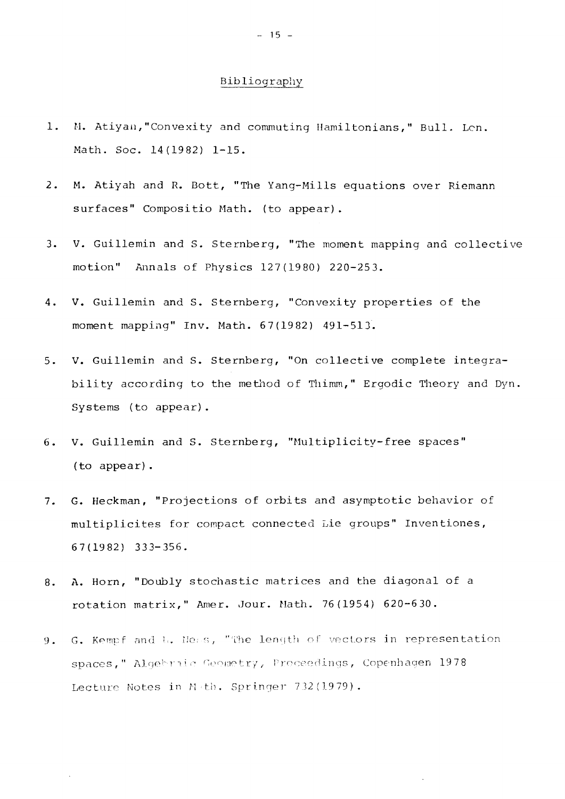### Bibliography

- 1. M. Atiyah, "Convexity and commuting Hamiltonians, " Bull. Lon. Math. Soc. 14(1982) 1-15.
- 2. M. Atiyah and R. Bott, "The Yang-Mills equations over Riemann surfaces" Compositio Math, (to appear).
- 3. V. Guillemin and S. Sternberg, "The moment mapping and collective motion" Annals of Physics 127(1980) 220-253.
- 4. V. Guillemin and S. Sternberg, "Convexity properties of the moment mapping" Inv. Math. 67(1982) 491-513.
- 5. V. Guillemin and S. Sternberg, "On collective complete integrability according to the method of Thimm," Ergodic Theory and Dyn. Systems (to appear).
- 6. V. Guillemin and S. Sternberg, "Multiplicity-free spaces" (to appear).
- 7. G. Heckman, "Projections of orbits and asymptotic behavior of multiplicites for compact connected Lie groups" Inventiones. 67(1982) 333-356.
- 8. A. Horn, "Doubly stochastic matrices and the diagonal of a rotation matrix," Amer. Jour. Math. 76(1954) 620-630.
- 9. G. Kempf and L. Nens, "The length of vectors in representation spaces," Algebraic Geometry, Proceedings, Copenhagen 1978 Lecture Notes in Meth. Springer 732(1979).